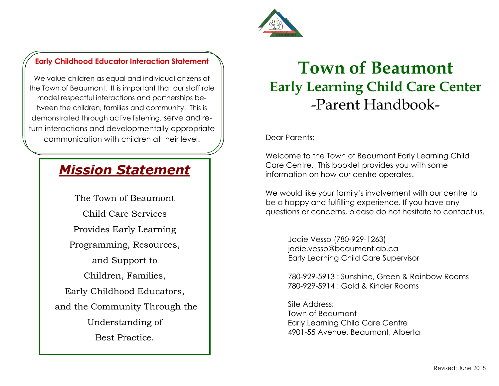

### **Early Childhood Educator Interaction Statement**

We value children as equal and individual citizens of the Town of Beaumont. It is important that our staff role model respectful interactions and partnerships between the children, families and community. This is demonstrated through active listening, serve and return interactions and developmentally appropriate communication with children at their level.

## *Mission Statement*

The Town of Beaumont Child Care Services Provides Early Learning Programming, Resources, and Support to Children, Families, Early Childhood Educators, and the Community Through the Understanding of Best Practice.

# **Town of Beaumont Early Learning Child Care Center**  -Parent Handbook-

Dear Parents:

Welcome to the Town of Beaumont Early Learning Child Care Centre. This booklet provides you with some information on how our centre operates.

We would like your family's involvement with our centre to be a happy and fulfilling experience. If you have any questions or concerns, please do not hesitate to contact us.

> Jodie Vesso (780-929-1263) jodie.vesso@beaumont.ab.ca Early Learning Child Care Supervisor

780-929-5913 : Sunshine, Green & Rainbow Rooms 780-929-5914 : Gold & Kinder Rooms

Site Address: Town of Beaumont Early Learning Child Care Centre 4901-55 Avenue, Beaumont, Alberta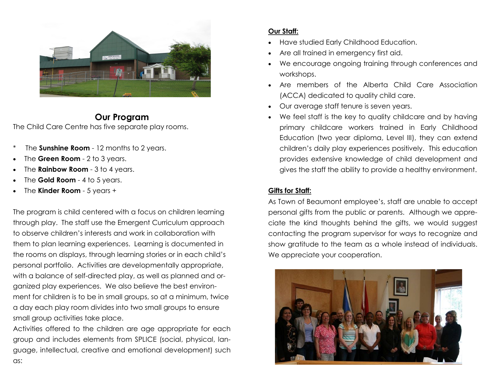

#### **Our Program** The Child Care Centre has five separate play rooms.

- The **Sunshine Room** 12 months to 2 years.
- The **Green Room**  2 to 3 years.
- The **Rainbow Room**  3 to 4 years.
- The **Gold Room**  4 to 5 years.
- The **Kinder Room**  5 years +

The program is child centered with a focus on children learning through play. The staff use the Emergent Curriculum approach to observe children's interests and work in collaboration with them to plan learning experiences. Learning is documented in the rooms on displays, through learning stories or in each child's personal portfolio. Activities are developmentally appropriate, with a balance of self-directed play, as well as planned and organized play experiences. We also believe the best environment for children is to be in small groups, so at a minimum, twice a day each play room divides into two small groups to ensure small group activities take place.

Activities offered to the children are age appropriate for each group and includes elements from SPLICE (social, physical, language, intellectual, creative and emotional development) such as:

#### **Our Staff:**

- Have studied Early Childhood Education.
- Are all trained in emergency first aid.
- We encourage ongoing training through conferences and workshops.
- Are members of the Alberta Child Care Association (ACCA) dedicated to quality child care.
- Our average staff tenure is seven years.
- We feel staff is the key to quality childcare and by having primary childcare workers trained in Early Childhood Education (two year diploma, Level III), they can extend children's daily play experiences positively. This education provides extensive knowledge of child development and gives the staff the ability to provide a healthy environment.

#### **Gifts for Staff:**

As Town of Beaumont employee's, staff are unable to accept personal gifts from the public or parents. Although we appreciate the kind thoughts behind the gifts, we would suggest contacting the program supervisor for ways to recognize and show gratitude to the team as a whole instead of individuals. We appreciate your cooperation.

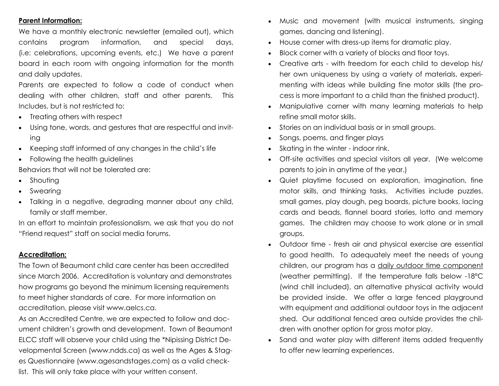#### **Parent Information:**

We have a monthly electronic newsletter (emailed out), which contains program information, and special days, (i.e: celebrations, upcoming events, etc.) We have a parent board in each room with ongoing information for the month and daily updates.

Parents are expected to follow a code of conduct when dealing with other children, staff and other parents. This Includes, but is not restricted to:

- Treating others with respect
- Using tone, words, and gestures that are respectful and inviting
- Keeping staff informed of any changes in the child's life
- Following the health guidelines

Behaviors that will not be tolerated are:

- Shouting
- Swearing
- Talking in a negative, degrading manner about any child, family or staff member.

In an effort to maintain professionalism, we ask that you do not "Friend request" staff on social media forums.

#### **Accreditation:**

The Town of Beaumont child care center has been accredited since March 2006. Accreditation is voluntary and demonstrates how programs go beyond the minimum licensing requirements to meet higher standards of care. For more information on accreditation, please visit www.aelcs.ca.

As an Accredited Centre, we are expected to follow and document children's growth and development. Town of Beaumont ELCC staff will observe your child using the \*Nipissing District Developmental Screen (www.ndds.ca) as well as the Ages & Stages Questionnaire (www.agesandstages.com) as a valid checklist. This will only take place with your written consent.

- Music and movement (with musical instruments, singing games, dancing and listening).
- House corner with dress-up items for dramatic play.
- Block corner with a variety of blocks and floor toys.
- Creative arts with freedom for each child to develop his/ her own uniqueness by using a variety of materials, experimenting with ideas while building fine motor skills (the process is more important to a child than the finished product).
- Manipulative corner with many learning materials to help refine small motor skills.
- Stories on an individual basis or in small groups.
- Songs, poems, and finger plays
- Skating in the winter indoor rink.
- Off-site activities and special visitors all year. (We welcome parents to join in anytime of the year.)
- Quiet playtime focused on exploration, imagination, fine motor skills, and thinking tasks. Activities include puzzles, small games, play dough, peg boards, picture books, lacing cards and beads, flannel board stories, lotto and memory games. The children may choose to work alone or in small groups.
- Outdoor time fresh air and physical exercise are essential to good health. To adequately meet the needs of young children, our program has a daily outdoor time component (weather permitting). If the temperature falls below -18°C (wind chill included), an alternative physical activity would be provided inside. We offer a large fenced playground with equipment and additional outdoor toys in the adjacent shed. Our additional fenced area outside provides the children with another option for gross motor play.
- Sand and water play with different items added frequently to offer new learning experiences.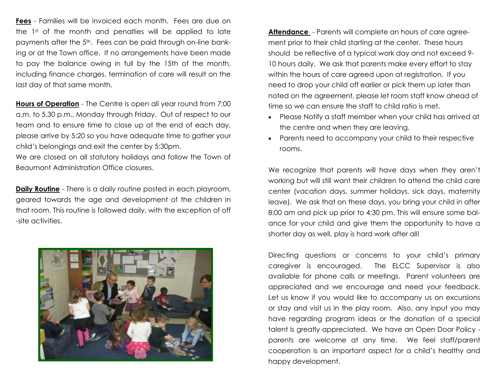**Fees** - Families will be invoiced each month. Fees are due on the 1st of the month and penalties will be applied to late payments after the 5<sup>th</sup>. Fees can be paid through on-line banking or at the Town office. If no arrangements have been made to pay the balance owing in full by the 15th of the month, including finance charges, termination of care will result on the last day of that same month.

**Hours of Operation** - The Centre is open all year round from 7:00 a.m. to 5.30 p.m., Monday through Friday. Out of respect to our team and to ensure time to close up at the end of each day, please arrive by 5:20 so you have adequate time to gather your child's belongings and exit the center by 5:30pm.

We are closed on all statutory holidays and follow the Town of Beaumont Administration Office closures.

**Daily Routine** - There is a daily routine posted in each playroom, geared towards the age and development of the children in that room. This routine is followed daily, with the exception of off -site activities.



**Attendance** - Parents will complete an hours of care agreement prior to their child starting at the center. These hours should be reflective of a typical work day and not exceed 9- 10 hours daily. We ask that parents make every effort to stay within the hours of care agreed upon at registration. If you need to drop your child off earlier or pick them up later than noted on the agreement, please let room staff know ahead of time so we can ensure the staff to child ratio is met.

- Please Notify a staff member when your child has arrived at the centre and when they are leaving.
- Parents need to accompany your child to their respective rooms.

We recognize that parents will have days when they aren't working but will still want their children to attend the child care center (vacation days, summer holidays, sick days, maternity leave). We ask that on these days, you bring your child in after 8:00 am and pick up prior to 4:30 pm. This will ensure some balance for your child and give them the opportunity to have a shorter day as well, play is hard work after all!

Directing questions or concerns to your child's primary caregiver is encouraged. The ELCC Supervisor is also available for phone calls or meetings. Parent volunteers are appreciated and we encourage and need your feedback. Let us know if you would like to accompany us on excursions or stay and visit us in the play room. Also, any input you may have regarding program ideas or the donation of a special talent is greatly appreciated. We have an Open Door Policy parents are welcome at any time. We feel staff/parent cooperation is an important aspect for a child's healthy and happy development.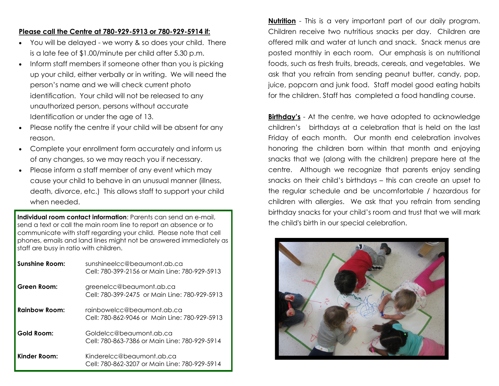#### **Please call the Centre at 780-929-5913 or 780-929-5914 if:**

- You will be delayed we worry & so does your child. There is a late fee of \$1.00/minute per child after 5.30 p.m.
- Inform staff members if someone other than you is picking up your child, either verbally or in writing. We will need the person's name and we will check current photo identification. Your child will not be released to any unauthorized person, persons without accurate Identification or under the age of 13.
- Please notify the centre if your child will be absent for any reason.
- Complete your enrollment form accurately and inform us of any changes, so we may reach you if necessary.
- Please inform a staff member of any event which may cause your child to behave in an unusual manner (illness, death, divorce, etc.) This allows staff to support your child when needed.

**Individual room contact information**: Parents can send an e-mail, send a text or call the main room line to report an absence or to communicate with staff regarding your child. Please note that cell phones, emails and land lines might not be answered immediately as staff are busy in ratio with children.

| <b>Sunshine Room:</b> | sunshineelcc@beaumont.ab.ca<br>Cell: 780-399-2156 or Main Line: 780-929-5913 |
|-----------------------|------------------------------------------------------------------------------|
| Green Room:           | greenelcc@beaumont.ab.ca<br>Cell: 780-399-2475 or Main Line: 780-929-5913    |
| <b>Rainbow Room:</b>  | rainbowelcc@beaumont.ab.ca<br>Cell: 780-862-9046 or Main Line: 780-929-5913  |
| Gold Room:            | Goldelcc@beaumont.ab.ca<br>Cell: 780-863-7386 or Main Line: 780-929-5914     |
| Kinder Room:          | Kinderelcc@beaumont.ab.ca<br>Cell: 780-862-3207 or Main Line: 780-929-5914   |

**Nutrition** - This is a very important part of our daily program. Children receive two nutritious snacks per day. Children are offered milk and water at lunch and snack. Snack menus are posted monthly in each room. Our emphasis is on nutritional foods, such as fresh fruits, breads, cereals, and vegetables. We ask that you refrain from sending peanut butter, candy, pop, juice, popcorn and junk food. Staff model good eating habits for the children. Staff has completed a food handling course.

**Birthday's** - At the centre, we have adopted to acknowledge children's birthdays at a celebration that is held on the last Friday of each month. Our month end celebration involves honoring the children born within that month and enjoying snacks that we (along with the children) prepare here at the centre. Although we recognize that parents enjoy sending snacks on their child's birthdays – this can create an upset to the regular schedule and be uncomfortable / hazardous for children with allergies. We ask that you refrain from sending birthday snacks for your child's room and trust that we will mark the child's birth in our special celebration.